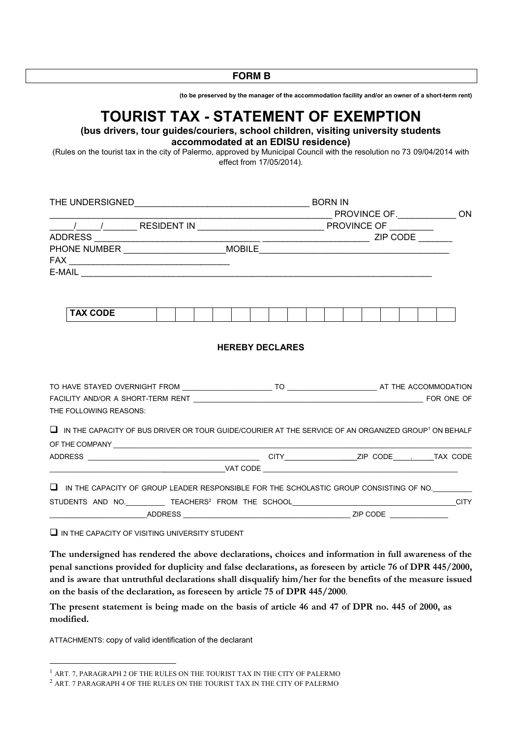**FORM B**

**(to be preserved by the manager of the accommodation facility and/or an owner of a short-term rent)**

# **TOURIST TAX - STATEMENT OF EXEMPTION**

**(bus drivers, tour guides/couriers, school children, visiting university students accommodated at an EDISU residence)**

(Rules on the tourist tax in the city of Palermo, approved by Municipal Council with the resolution no 73 09/04/2014 with effect from 17/05/2014).

|  | $E-MAIL$ $\overline{\phantom{a}}$                                                                                      |  |  |  |  |  |                        |  |  |  |  |  |  |  |  |  |  |  |
|--|------------------------------------------------------------------------------------------------------------------------|--|--|--|--|--|------------------------|--|--|--|--|--|--|--|--|--|--|--|
|  |                                                                                                                        |  |  |  |  |  |                        |  |  |  |  |  |  |  |  |  |  |  |
|  | <b>TAX CODE</b>                                                                                                        |  |  |  |  |  |                        |  |  |  |  |  |  |  |  |  |  |  |
|  |                                                                                                                        |  |  |  |  |  |                        |  |  |  |  |  |  |  |  |  |  |  |
|  |                                                                                                                        |  |  |  |  |  | <b>HEREBY DECLARES</b> |  |  |  |  |  |  |  |  |  |  |  |
|  |                                                                                                                        |  |  |  |  |  |                        |  |  |  |  |  |  |  |  |  |  |  |
|  |                                                                                                                        |  |  |  |  |  |                        |  |  |  |  |  |  |  |  |  |  |  |
|  | THE FOLLOWING REASONS:                                                                                                 |  |  |  |  |  |                        |  |  |  |  |  |  |  |  |  |  |  |
|  | $\Box$ IN THE CAPACITY OF BUS DRIVER OR TOUR GUIDE/COURIER AT THE SERVICE OF AN ORGANIZED GROUP <sup>1</sup> ON BEHALF |  |  |  |  |  |                        |  |  |  |  |  |  |  |  |  |  |  |
|  |                                                                                                                        |  |  |  |  |  |                        |  |  |  |  |  |  |  |  |  |  |  |
|  |                                                                                                                        |  |  |  |  |  |                        |  |  |  |  |  |  |  |  |  |  |  |
|  |                                                                                                                        |  |  |  |  |  |                        |  |  |  |  |  |  |  |  |  |  |  |
|  | $\Box$ IN THE CAPACITY OF GROUP LEADER RESPONSIBLE FOR THE SCHOLASTIC GROUP CONSISTING OF NO.                          |  |  |  |  |  |                        |  |  |  |  |  |  |  |  |  |  |  |
|  | STUDENTS AND NO. TEACHERS <sup>2</sup> FROM THE SCHOOL <b>CONFIDENTS</b> CITY                                          |  |  |  |  |  |                        |  |  |  |  |  |  |  |  |  |  |  |
|  |                                                                                                                        |  |  |  |  |  |                        |  |  |  |  |  |  |  |  |  |  |  |
|  |                                                                                                                        |  |  |  |  |  |                        |  |  |  |  |  |  |  |  |  |  |  |

 $\Box$  IN THE CAPACITY OF VISITING UNIVERSITY STUDENT

**The undersigned has rendered the above declarations, choices and information in full awareness of the penal sanctions provided for duplicity and false declarations, as foreseen by article 76 of DPR 445/2000, and is aware that untruthful declarations shall disqualify him/her for the benefits of the measure issued on the basis of the declaration, as foreseen by article 75 of DPR 445/2000**.

**The present statement is being made on the basis of article 46 and 47 of DPR no. 445 of 2000, as modified.**

ATTACHMENTS: copy of valid identification of the declarant

**.** 

 $^{\rm 1}$  ART. 7, PARAGRAPH 2 OF THE RULES ON THE TOURIST TAX IN THE CITY OF PALERMO

 $^2$  ART. 7 PARAGRAPH 4 OF THE RULES ON THE TOURIST TAX IN THE CITY OF PALERMO